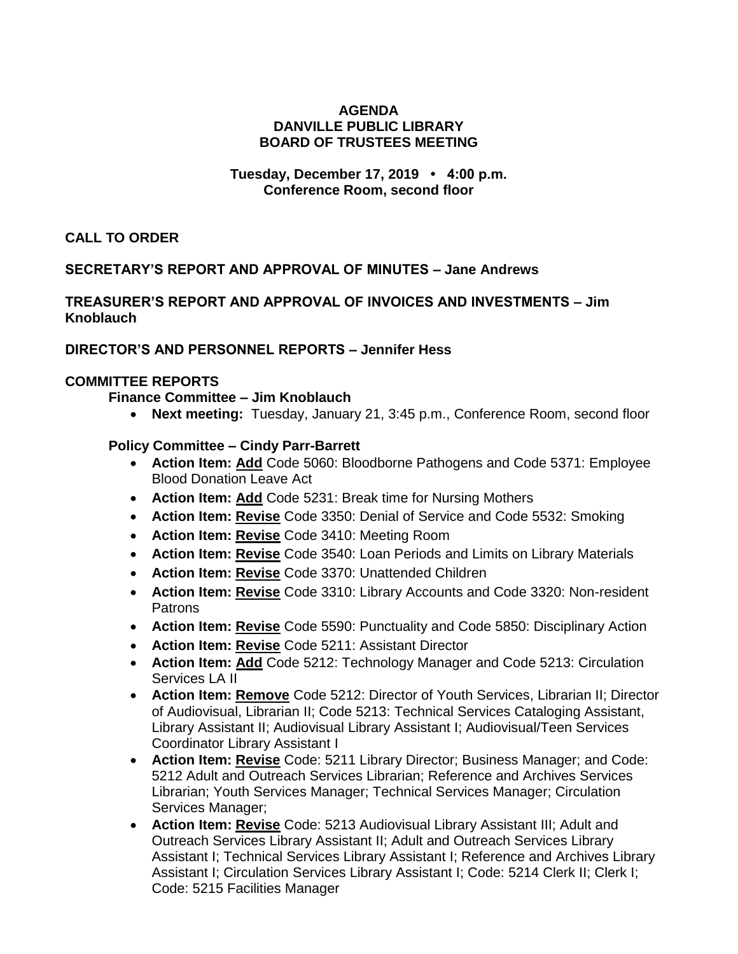## **AGENDA DANVILLE PUBLIC LIBRARY BOARD OF TRUSTEES MEETING**

## **Tuesday, December 17, 2019 • 4:00 p.m. Conference Room, second floor**

**CALL TO ORDER**

## **SECRETARY'S REPORT AND APPROVAL OF MINUTES – Jane Andrews**

# **TREASURER'S REPORT AND APPROVAL OF INVOICES AND INVESTMENTS – Jim Knoblauch**

## **DIRECTOR'S AND PERSONNEL REPORTS – Jennifer Hess**

#### **COMMITTEE REPORTS**

**Finance Committee – Jim Knoblauch**

**Next meeting:** Tuesday, January 21, 3:45 p.m., Conference Room, second floor

#### **Policy Committee – Cindy Parr-Barrett**

- **Action Item: Add** Code 5060: Bloodborne Pathogens and Code 5371: Employee Blood Donation Leave Act
- **Action Item: Add** Code 5231: Break time for Nursing Mothers
- **Action Item: Revise** Code 3350: Denial of Service and Code 5532: Smoking
- **Action Item: Revise** Code 3410: Meeting Room
- **Action Item: Revise** Code 3540: Loan Periods and Limits on Library Materials
- **Action Item: Revise** Code 3370: Unattended Children
- **Action Item: Revise** Code 3310: Library Accounts and Code 3320: Non-resident Patrons
- **Action Item: Revise** Code 5590: Punctuality and Code 5850: Disciplinary Action
- **Action Item: Revise** Code 5211: Assistant Director
- **Action Item: Add** Code 5212: Technology Manager and Code 5213: Circulation Services LA II
- **Action Item: Remove** Code 5212: Director of Youth Services, Librarian II; Director of Audiovisual, Librarian II; Code 5213: Technical Services Cataloging Assistant, Library Assistant II; Audiovisual Library Assistant I; Audiovisual/Teen Services Coordinator Library Assistant I
- **Action Item: Revise** Code: 5211 Library Director; Business Manager; and Code: 5212 Adult and Outreach Services Librarian; Reference and Archives Services Librarian; Youth Services Manager; Technical Services Manager; Circulation Services Manager;
- **Action Item: Revise** Code: 5213 Audiovisual Library Assistant III; Adult and Outreach Services Library Assistant II; Adult and Outreach Services Library Assistant I; Technical Services Library Assistant I; Reference and Archives Library Assistant I; Circulation Services Library Assistant I; Code: 5214 Clerk II; Clerk I; Code: 5215 Facilities Manager